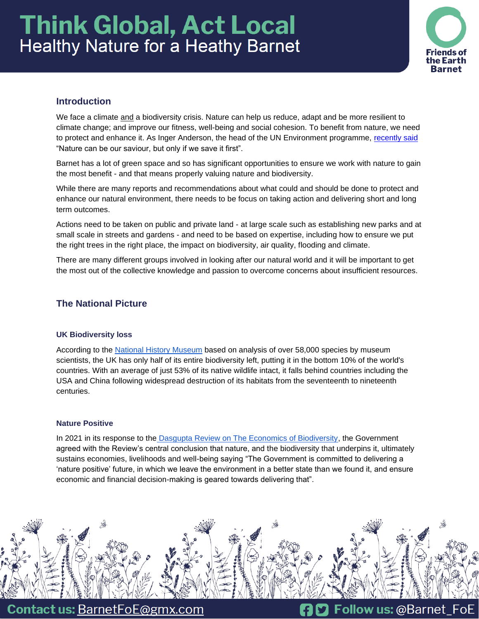# **Think Global, Act Local Healthy Nature for a Heathy Barnet**



# **Introduction**

We face a climate and a biodiversity crisis. Nature can help us reduce, adapt and be more resilient to climate change; and improve our fitness, well-being and social cohesion. To benefit from nature, we need to protect and enhance it. As Inger Anderson, the head of the UN Environment programme, [recently said](https://www.bbc.co.uk/news/science-environment-60541816) "Nature can be our saviour, but only if we save it first".

Barnet has a lot of green space and so has significant opportunities to ensure we work with nature to gain the most benefit - and that means properly valuing nature and biodiversity.

While there are many reports and recommendations about what could and should be done to protect and enhance our natural environment, there needs to be focus on taking action and delivering short and long term outcomes.

Actions need to be taken on public and private land - at large scale such as establishing new parks and at small scale in streets and gardens - and need to be based on expertise, including how to ensure we put the right trees in the right place, the impact on biodiversity, air quality, flooding and climate.

There are many different groups involved in looking after our natural world and it will be important to get the most out of the collective knowledge and passion to overcome concerns about insufficient resources.

# **The National Picture**

# **UK Biodiversity loss**

According to the [National History Museum](https://www.nhm.ac.uk/discover/news/2021/october/analysis-warns-global-biodiversity-is-below-safe-limit.html) based on analysis of over 58,000 species by museum scientists, the UK has only half of its entire biodiversity left, putting it in the bottom 10% of the world's countries. With an average of just 53% of its native wildlife intact, it falls behind countries including the USA and China following widespread destruction of its habitats from the seventeenth to nineteenth centuries.

# **Nature Positive**

In 2021 in its response to the [Dasgupta Review on The Economics of Biodiversity,](https://www.gov.uk/government/news/government-commits-to-nature-positive-future-in-response-to-dasgupta-review) the Government agreed with the Review's central conclusion that nature, and the biodiversity that underpins it, ultimately sustains economies, livelihoods and well-being saying "The Government is committed to delivering a 'nature positive' future, in which we leave the environment in a better state than we found it, and ensure economic and financial decision-making is geared towards delivering that".



**Contact us: BarnetFoE@gmx.com**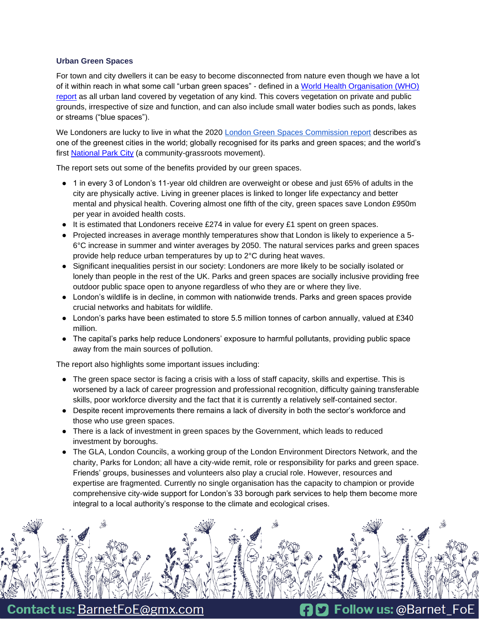# **Urban Green Spaces**

For town and city dwellers it can be easy to become disconnected from nature even though we have a lot of it within reach in what some call "urban green spaces" - defined in a World Health Organisation (WHO) [report](https://www.euro.who.int/__data/assets/pdf_file/0010/342289/Urban-Green-Spaces_EN_WHO_web3.pdf%3Fua=1) as all urban land covered by vegetation of any kind. This covers vegetation on private and public grounds, irrespective of size and function, and can also include small water bodies such as ponds, lakes or streams ("blue spaces").

We Londoners are lucky to live in what the 2020 [London Green Spaces Commission report](https://www.london.gov.uk/sites/default/files/4244_-_gla_-_london_green_spaces_commission_report_v7_0.pdf) describes as one of the greenest cities in the world; globally recognised for its parks and green spaces; and the world's first [National Park City](https://www.nationalparkcity.london/faq) (a community-grassroots movement).

The report sets out some of the benefits provided by our green spaces.

- 1 in every 3 of London's 11-year old children are overweight or obese and just 65% of adults in the city are physically active. Living in greener places is linked to longer life expectancy and better mental and physical health. Covering almost one fifth of the city, green spaces save London £950m per year in avoided health costs.
- It is estimated that Londoners receive £274 in value for every £1 spent on green spaces.
- Projected increases in average monthly temperatures show that London is likely to experience a 5-6°C increase in summer and winter averages by 2050. The natural services parks and green spaces provide help reduce urban temperatures by up to 2°C during heat waves.
- Significant inequalities persist in our society: Londoners are more likely to be socially isolated or lonely than people in the rest of the UK. Parks and green spaces are socially inclusive providing free outdoor public space open to anyone regardless of who they are or where they live.
- London's wildlife is in decline, in common with nationwide trends. Parks and green spaces provide crucial networks and habitats for wildlife.
- London's parks have been estimated to store 5.5 million tonnes of carbon annually, valued at £340 million.
- The capital's parks help reduce Londoners' exposure to harmful pollutants, providing public space away from the main sources of pollution.

The report also highlights some important issues including:

- The green space sector is facing a crisis with a loss of staff capacity, skills and expertise. This is worsened by a lack of career progression and professional recognition, difficulty gaining transferable skills, poor workforce diversity and the fact that it is currently a relatively self-contained sector.
- Despite recent improvements there remains a lack of diversity in both the sector's workforce and those who use green spaces.
- There is a lack of investment in green spaces by the Government, which leads to reduced investment by boroughs.
- The GLA, London Councils, a working group of the London Environment Directors Network, and the charity, Parks for London; all have a city-wide remit, role or responsibility for parks and green space. Friends' groups, businesses and volunteers also play a crucial role. However, resources and expertise are fragmented. Currently no single organisation has the capacity to champion or provide comprehensive city-wide support for London's 33 borough park services to help them become more integral to a local authority's response to the climate and ecological crises.



**Contact us: BarnetFoE@gmx.com**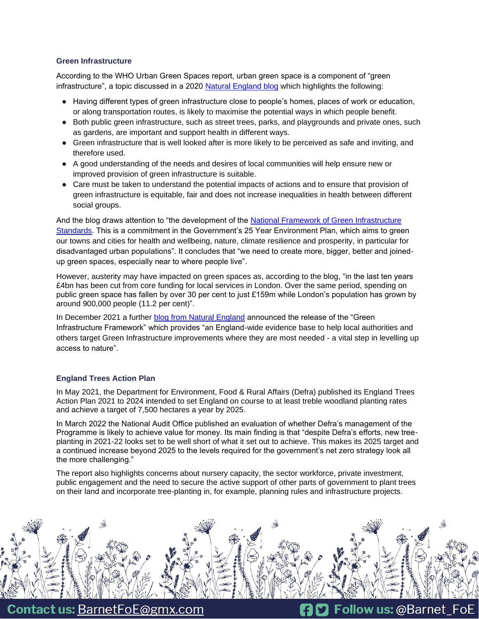# **Green Infrastructure**

According to the WHO Urban Green Spaces report, urban green space is a component of "green infrastructure", a topic discussed in a 2020 [Natural England blog](https://naturalengland.blog.gov.uk/2020/09/30/enhancing-englands-urban-green-spaces/) which highlights the following:

- Having different types of green infrastructure close to people's homes, places of work or education, or along transportation routes, is likely to maximise the potential ways in which people benefit.
- Both public green infrastructure, such as street trees, parks, and playgrounds and private ones, such as gardens, are important and support health in different ways.
- Green infrastructure that is well looked after is more likely to be perceived as safe and inviting, and therefore used.
- A good understanding of the needs and desires of local communities will help ensure new or improved provision of green infrastructure is suitable.
- Care must be taken to understand the potential impacts of actions and to ensure that provision of green infrastructure is equitable, fair and does not increase inequalities in health between different social groups.

And the blog draws attention to "the development of the [National Framework of Green Infrastructure](https://designatedsites.naturalengland.org.uk/GreenInfrastructure/Home.aspx)  [Standards.](https://designatedsites.naturalengland.org.uk/GreenInfrastructure/Home.aspx) This is a commitment in the Government's 25 Year Environment Plan, which aims to green our towns and cities for health and wellbeing, nature, climate resilience and prosperity, in particular for disadvantaged urban populations". It concludes that "we need to create more, bigger, better and joinedup green spaces, especially near to where people live".

However, austerity may have impacted on green spaces as, according to the blog, "in the last ten years £4bn has been cut from core funding for local services in London. Over the same period, spending on public green space has fallen by over 30 per cent to just £159m while London's population has grown by around 900,000 people (11.2 per cent)".

In December 2021 a further [blog from Natural England](https://naturalengland.blog.gov.uk/2021/12/07/how-natural-englands-green-infrastructure-framework-can-help-create-better-places-to-live/) announced the release of the "Green Infrastructure Framework" which provides "an England-wide evidence base to help local authorities and others target Green Infrastructure improvements where they are most needed - a vital step in levelling up access to nature".

# **England Trees Action Plan**

In May 2021, the Department for Environment, Food & Rural Affairs (Defra) published its England Trees Action Plan 2021 to 2024 intended to set England on course to at least treble woodland planting rates and achieve a target of 7,500 hectares a year by 2025.

In March 2022 the National Audit Office published an evaluation of whether Defra's management of the Programme is likely to achieve value for money. Its main finding is that "despite Defra's efforts, new treeplanting in 2021-22 looks set to be well short of what it set out to achieve. This makes its 2025 target and a continued increase beyond 2025 to the levels required for the government's net zero strategy look all the more challenging."

The report also highlights concerns about nursery capacity, the sector workforce, private investment, public engagement and the need to secure the active support of other parts of government to plant trees on their land and incorporate tree-planting in, for example, planning rules and infrastructure projects.



**Contact us: BarnetFoE@gmx.com**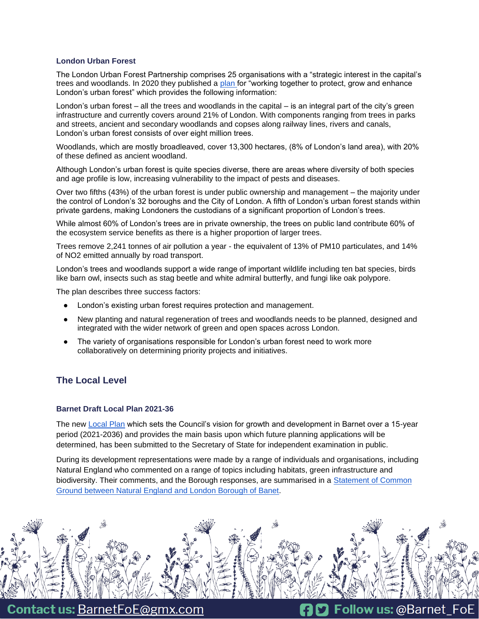## **London Urban Forest**

The London Urban Forest Partnership comprises 25 organisations with a "strategic interest in the capital's trees and woodlands. In 2020 they published a [plan f](https://www.london.gov.uk/sites/default/files/londonurbanforestplan_final.pdf)or "working together to protect, grow and enhance London's urban forest" which provides the following information:

London's urban forest – all the trees and woodlands in the capital – is an integral part of the city's green infrastructure and currently covers around 21% of London. With components ranging from trees in parks and streets, ancient and secondary woodlands and copses along railway lines, rivers and canals, London's urban forest consists of over eight million trees.

Woodlands, which are mostly broadleaved, cover 13,300 hectares, (8% of London's land area), with 20% of these defined as ancient woodland.

Although London's urban forest is quite species diverse, there are areas where diversity of both species and age profile is low, increasing vulnerability to the impact of pests and diseases.

Over two fifths (43%) of the urban forest is under public ownership and management – the majority under the control of London's 32 boroughs and the City of London. A fifth of London's urban forest stands within private gardens, making Londoners the custodians of a significant proportion of London's trees.

While almost 60% of London's trees are in private ownership, the trees on public land contribute 60% of the ecosystem service benefits as there is a higher proportion of larger trees.

Trees remove 2,241 tonnes of air pollution a year - the equivalent of 13% of PM10 particulates, and 14% of NO2 emitted annually by road transport.

London's trees and woodlands support a wide range of important wildlife including ten bat species, birds like barn owl, insects such as stag beetle and white admiral butterfly, and fungi like oak polypore.

The plan describes three success factors:

- London's existing urban forest requires protection and management.
- New planting and natural regeneration of trees and woodlands needs to be planned, designed and integrated with the wider network of green and open spaces across London.
- The variety of organisations responsible for London's urban forest need to work more collaboratively on determining priority projects and initiatives.

# **The Local Level**

#### **Barnet [Draft Local Plan](https://ehq-production-europe.s3.eu-west-1.amazonaws.com/03c7249ee016ad4bcb5bc2e0aba8144e87fb5e43/original/1624968063/f3c6eb02ede2022d0235edba51ea5ecc_Local_Plan_Reg_19_for_Consultation.pdf?X-Amz-Algorithm=AWS4-HMAC-SHA256&X-Amz-Credential=AKIAIBJCUKKD4ZO4WUUA%2F20220306%2Feu-west-1%2Fs3%2Faws4_request&X-Amz-Date=20220306T180223Z&X-Amz-Expires=300&X-Amz-SignedHeaders=host&X-Amz-Signature=8beb9b02069687a8a18c5b25676aec4b7df80f3c9c9692dcf9fa7cd051af642a) 2021-36**

The new [Local Plan](https://ehq-production-europe.s3.eu-west-1.amazonaws.com/03c7249ee016ad4bcb5bc2e0aba8144e87fb5e43/original/1624968063/f3c6eb02ede2022d0235edba51ea5ecc_Local_Plan_Reg_19_for_Consultation.pdf?X-Amz-Algorithm=AWS4-HMAC-SHA256&X-Amz-Credential=AKIAIBJCUKKD4ZO4WUUA%2F20220306%2Feu-west-1%2Fs3%2Faws4_request&X-Amz-Date=20220306T180223Z&X-Amz-Expires=300&X-Amz-SignedHeaders=host&X-Amz-Signature=8beb9b02069687a8a18c5b25676aec4b7df80f3c9c9692dcf9fa7cd051af642a) which sets the Council's vision for growth and development in Barnet over a 15-year period (2021-2036) and provides the main basis upon which future planning applications will be determined, has been submitted to the Secretary of State for independent examination in public.

During its development representations were made by a range of individuals and organisations, including Natural England who commented on a range of topics including habitats, green infrastructure and biodiversity. Their comments, and the Borough responses, are summarised in a [Statement of Common](https://www.barnet.gov.uk/sites/default/files/Natural%20England%20SCG.pdf)  [Ground between Natural England and London Borough of Banet.](https://www.barnet.gov.uk/sites/default/files/Natural%20England%20SCG.pdf)



**Contact us: BarnetFoE@gmx.com**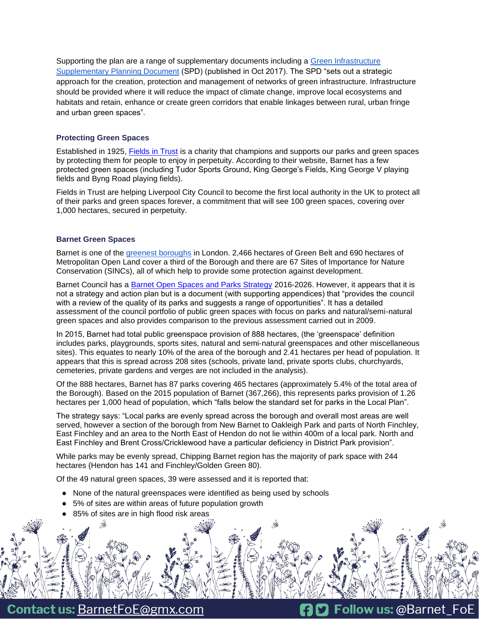Supporting the plan are a range of supplementary documents including a [Green Infrastructure](https://barnet.moderngov.co.uk/documents/s42496/Appendix%20B%20-%20Green%20Infrastructure%20SPD.pdf)  [Supplementary Planning Document](https://barnet.moderngov.co.uk/documents/s42496/Appendix%20B%20-%20Green%20Infrastructure%20SPD.pdf) (SPD) (published in Oct 2017). The SPD "sets out a strategic approach for the creation, protection and management of networks of green infrastructure. Infrastructure should be provided where it will reduce the impact of climate change, improve local ecosystems and habitats and retain, enhance or create green corridors that enable linkages between rural, urban fringe and urban green spaces".

# **Protecting Green Spaces**

Established in 1925, [Fields in Trust](https://www.fieldsintrust.org/) is a charity that champions and supports our parks and green spaces by protecting them for people to enjoy in perpetuity. According to their website, Barnet has a few protected green spaces (including Tudor Sports Ground, King George's Fields, King George V playing fields and Byng Road playing fields).

Fields in Trust are helping Liverpool City Council to become the first local authority in the UK to protect all of their parks and green spaces forever, a commitment that will see 100 green spaces, covering over 1,000 hectares, secured in perpetuity.

# **Barnet Green Spaces**

Barnet is one of the [greenest boroughs](https://en.wikipedia.org/wiki/List_of_nature_reserves_in_the_London_Borough_of_Barnet) in London. 2,466 hectares of Green Belt and 690 hectares of Metropolitan Open Land cover a third of the Borough and there are 67 Sites of Importance for Nature Conservation (SINCs), all of which help to provide some protection against development.

Barnet Council has a [Barnet Open Spaces and Parks Strategy](https://open.barnet.gov.uk/dataset/2zm6e/open-spaces-strategy) 2016-2026. However, it appears that it is not a strategy and action plan but is a document (with supporting appendices) that "provides the council with a review of the quality of its parks and suggests a range of opportunities". It has a detailed assessment of the council portfolio of public green spaces with focus on parks and natural/semi-natural green spaces and also provides comparison to the previous assessment carried out in 2009.

In 2015, Barnet had total public greenspace provision of 888 hectares, (the 'greenspace' definition includes parks, playgrounds, sports sites, natural and semi‑natural greenspaces and other miscellaneous sites). This equates to nearly 10% of the area of the borough and 2.41 hectares per head of population. It appears that this is spread across 208 sites (schools, private land, private sports clubs, churchyards, cemeteries, private gardens and verges are not included in the analysis).

Of the 888 hectares, Barnet has 87 parks covering 465 hectares (approximately 5.4% of the total area of the Borough). Based on the 2015 population of Barnet (367,266), this represents parks provision of 1.26 hectares per 1,000 head of population, which "falls below the standard set for parks in the Local Plan".

The strategy says: "Local parks are evenly spread across the borough and overall most areas are well served, however a section of the borough from New Barnet to Oakleigh Park and parts of North Finchley, East Finchley and an area to the North East of Hendon do not lie within 400m of a local park. North and East Finchley and Brent Cross/Cricklewood have a particular deficiency in District Park provision".

While parks may be evenly spread, Chipping Barnet region has the majority of park space with 244 hectares (Hendon has 141 and Finchley/Golden Green 80).

Of the 49 natural green spaces, 39 were assessed and it is reported that:

- None of the natural greenspaces were identified as being used by schools
- 5% of sites are within areas of future population growth
- 85% of sites are in high flood risk areas



**D** Follow us: @Barnet FoE

**Contact us: BarnetFoE@gmx.com**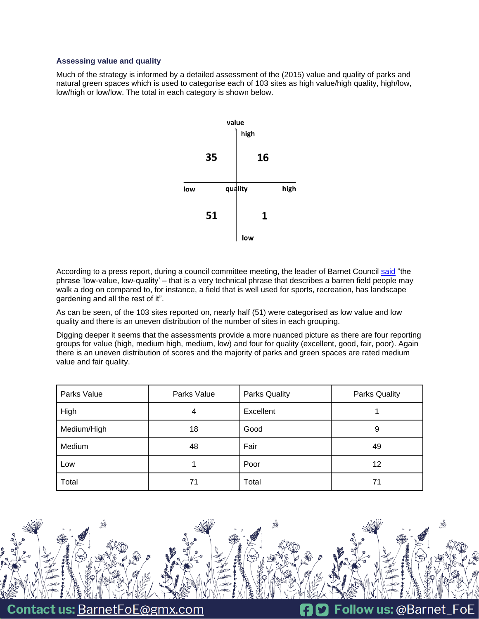## **Assessing value and quality**

Much of the strategy is informed by a detailed assessment of the (2015) value and quality of parks and natural green spaces which is used to categorise each of 103 sites as high value/high quality, high/low, low/high or low/low. The total in each category is shown below.



According to a press report, during a council committee meeting, the leader of Barnet Council [said](https://www.times-series.co.uk/news/19076566.barnet-leader-accused-u-turn-solar-farms-parks/) "the phrase 'low-value, low-quality' – that is a very technical phrase that describes a barren field people may walk a dog on compared to, for instance, a field that is well used for sports, recreation, has landscape gardening and all the rest of it".

As can be seen, of the 103 sites reported on, nearly half (51) were categorised as low value and low quality and there is an uneven distribution of the number of sites in each grouping.

Digging deeper it seems that the assessments provide a more nuanced picture as there are four reporting groups for value (high, medium high, medium, low) and four for quality (excellent, good, fair, poor). Again there is an uneven distribution of scores and the majority of parks and green spaces are rated medium value and fair quality.

| Parks Value | Parks Value | <b>Parks Quality</b> | <b>Parks Quality</b> |
|-------------|-------------|----------------------|----------------------|
| High        | 4           | Excellent            |                      |
| Medium/High | 18          | Good                 | 9                    |
| Medium      | 48          | Fair                 | 49                   |
| Low         |             | Poor                 | 12                   |
| Total       | 71          | Total                | 71                   |

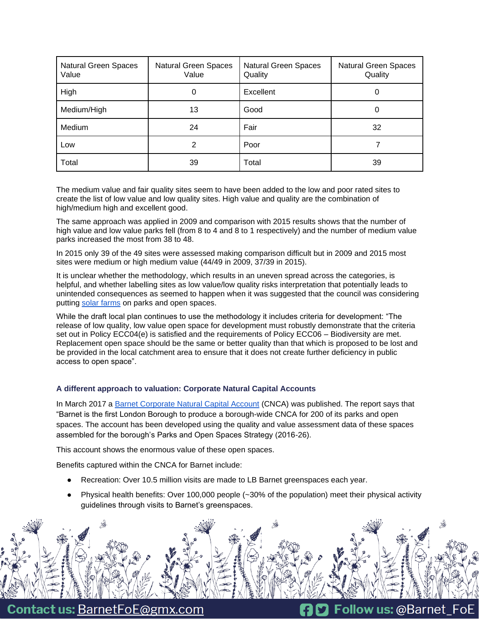| <b>Natural Green Spaces</b><br>Value | Natural Green Spaces<br>Value | <b>Natural Green Spaces</b><br>Quality | <b>Natural Green Spaces</b><br>Quality |
|--------------------------------------|-------------------------------|----------------------------------------|----------------------------------------|
| High                                 | 0                             | Excellent                              | 0                                      |
| Medium/High                          | 13                            | Good                                   | 0                                      |
| Medium                               | 24                            | Fair                                   | 32                                     |
| Low                                  | 2                             | Poor                                   |                                        |
| Total                                | 39                            | Total                                  | 39                                     |

The medium value and fair quality sites seem to have been added to the low and poor rated sites to create the list of low value and low quality sites. High value and quality are the combination of high/medium high and excellent good.

The same approach was applied in 2009 and comparison with 2015 results shows that the number of high value and low value parks fell (from 8 to 4 and 8 to 1 respectively) and the number of medium value parks increased the most from 38 to 48.

In 2015 only 39 of the 49 sites were assessed making comparison difficult but in 2009 and 2015 most sites were medium or high medium value (44/49 in 2009, 37/39 in 2015).

It is unclear whether the methodology, which results in an uneven spread across the categories, is helpful, and whether labelling sites as low value/low quality risks interpretation that potentially leads to unintended consequences as seemed to happen when it was suggested that the council was considering putting [solar farms](https://www.times-series.co.uk/news/19076566.barnet-leader-accused-u-turn-solar-farms-parks/) on parks and open spaces.

While the draft local plan continues to use the methodology it includes criteria for development: "The release of low quality, low value open space for development must robustly demonstrate that the criteria set out in Policy ECC04(e) is satisfied and the requirements of Policy ECC06 – Biodiversity are met. Replacement open space should be the same or better quality than that which is proposed to be lost and be provided in the local catchment area to ensure that it does not create further deficiency in public access to open space".

# **A different approach to valuation: Corporate Natural Capital Accounts**

In March 2017 a [Barnet Corporate Natural Capital Account](https://barnet.moderngov.co.uk/documents/s40941/Appendix%202%20Natural%20Capital%20Account%20for%20Barnet.pdf) (CNCA) was published. The report says that "Barnet is the first London Borough to produce a borough-wide CNCA for 200 of its parks and open spaces. The account has been developed using the quality and value assessment data of these spaces assembled for the borough's Parks and Open Spaces Strategy (2016-26).

This account shows the enormous value of these open spaces.

Benefits captured within the CNCA for Barnet include:

- Recreation: Over 10.5 million visits are made to LB Barnet greenspaces each year.
- Physical health benefits: Over 100,000 people  $(-30\%$  of the population) meet their physical activity guidelines through visits to Barnet's greenspaces.



**Contact us: BarnetFoE@gmx.com**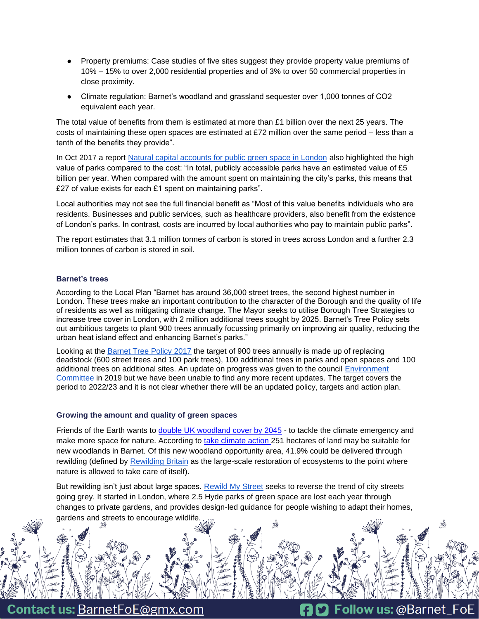- Property premiums: Case studies of five sites suggest they provide property value premiums of 10% – 15% to over 2,000 residential properties and of 3% to over 50 commercial properties in close proximity.
- Climate regulation: Barnet's woodland and grassland sequester over 1,000 tonnes of CO2 equivalent each year.

The total value of benefits from them is estimated at more than £1 billion over the next 25 years. The costs of maintaining these open spaces are estimated at £72 million over the same period – less than a tenth of the benefits they provide".

In Oct 2017 a report [Natural capital accounts for public green space in London](https://www.london.gov.uk/sites/default/files/11015viv_natural_capital_account_for_london_v7_full_vis.pdf) also highlighted the high value of parks compared to the cost: "In total, publicly accessible parks have an estimated value of £5 billion per year. When compared with the amount spent on maintaining the city's parks, this means that £27 of value exists for each £1 spent on maintaining parks".

Local authorities may not see the full financial benefit as "Most of this value benefits individuals who are residents. Businesses and public services, such as healthcare providers, also benefit from the existence of London's parks. In contrast, costs are incurred by local authorities who pay to maintain public parks".

The report estimates that 3.1 million tonnes of carbon is stored in trees across London and a further 2.3 million tonnes of carbon is stored in soil.

# **Barnet's trees**

According to the Local Plan "Barnet has around 36,000 street trees, the second highest number in London. These trees make an important contribution to the character of the Borough and the quality of life of residents as well as mitigating climate change. The Mayor seeks to utilise Borough Tree Strategies to increase tree cover in London, with 2 million additional trees sought by 2025. Barnet's Tree Policy sets out ambitious targets to plant 900 trees annually focussing primarily on improving air quality, reducing the urban heat island effect and enhancing Barnet's parks."

Looking at the [Barnet Tree Policy 2017](https://www.barnet.gov.uk/parks-sport-and-leisure/barnet-tree-policy#:~:text=The%20Barnet%20Tree%20Policy%20was,Strategy%20adopted%20in%20May%202016.) the target of 900 trees annually is made up of replacing deadstock (600 street trees and 100 park trees), 100 additional trees in parks and open spaces and 100 additional trees on additional sites. An update on progress was given to the council [Environment](https://barnet.moderngov.co.uk/documents/b32137/Barnet%20Tree%20Policy%20Update%2004th-Jun-2019%2019.00%20Environment%20Committee.pdf?T=9)  [Committee i](https://barnet.moderngov.co.uk/documents/b32137/Barnet%20Tree%20Policy%20Update%2004th-Jun-2019%2019.00%20Environment%20Committee.pdf?T=9)n 2019 but we have been unable to find any more recent updates. The target covers the period to 2022/23 and it is not clear whether there will be an updated policy, targets and action plan.

# **Growing the amount and quality of green spaces**

Friends of the Earth wants to [double UK woodland cover by 2045](https://policy.friendsoftheearth.uk/insight/finding-land-double-tree-cover?_ga=2.73182483.1462308921.1645966469-1085283305.1615903892&_gac=1.79656422.1645966532.Cj0KCQiA3-yQBhD3ARIsAHuHT662W2KHifvyyuwaG_w-2NTaURAcdBbfklT1ZptehAcFR6Np_MqULykaAgYnEALw_wcB) - to tackle the climate emergency and make more space for nature. According to [take climate action](https://takeclimateaction.uk/near-you/barnet?_ga=2.83298710.1462308921.1645966469-1085283305.1615903892&_gac=1.14193989.1645966532.Cj0KCQiA3-yQBhD3ARIsAHuHT662W2KHifvyyuwaG_w-2NTaURAcdBbfklT1ZptehAcFR6Np_MqULykaAgYnEALw_wcB) 251 hectares of land may be suitable for new woodlands in Barnet. Of this new woodland opportunity area, 41.9% could be delivered through rewilding (defined by [Rewilding Britain](https://www.rewildingbritain.org.uk/explore-rewilding/what-is-rewilding/defining-rewilding) as the large-scale restoration of ecosystems to the point where nature is allowed to take care of itself).

But rewilding isn't just about large spaces. [Rewild My Street](https://www.rewildmystreet.org/about) seeks to reverse the trend of city streets going grey. It started in London, where 2.5 Hyde parks of green space are lost each year through changes to private gardens, and provides design-led guidance for people wishing to adapt their homes, gardens and streets to encourage wildlife.



**Contact us: BarnetFoE@gmx.com**